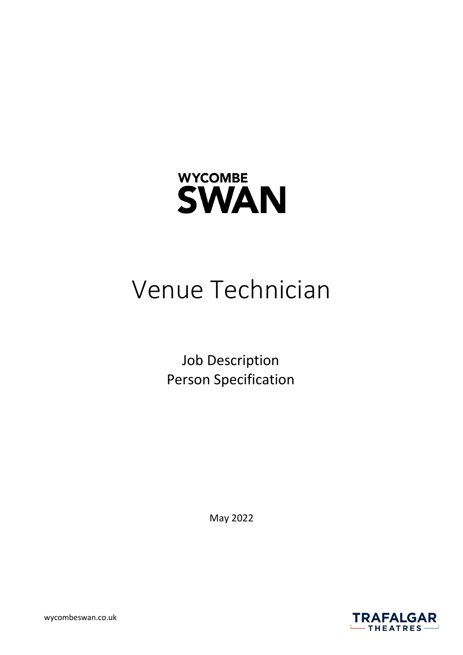

# Venue Technician

Job Description Person Specification

May 2022

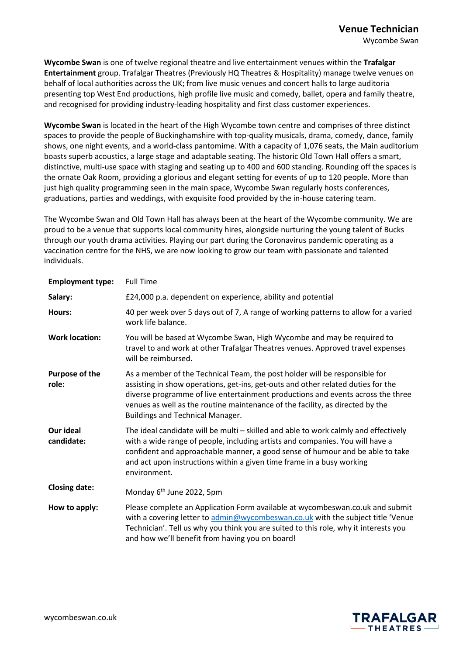**Wycombe Swan** is one of twelve regional theatre and live entertainment venues within the **Trafalgar Entertainment** group. Trafalgar Theatres (Previously HQ Theatres & Hospitality) manage twelve venues on behalf of local authorities across the UK; from live music venues and concert halls to large auditoria presenting top West End productions, high profile live music and comedy, ballet, opera and family theatre, and recognised for providing industry-leading hospitality and first class customer experiences.

**Wycombe Swan** is located in the heart of the High Wycombe town centre and comprises of three distinct spaces to provide the people of Buckinghamshire with top-quality musicals, drama, comedy, dance, family shows, one night events, and a world-class pantomime. With a capacity of 1,076 seats, the Main auditorium boasts superb acoustics, a large stage and adaptable seating. The historic Old Town Hall offers a smart, distinctive, multi-use space with staging and seating up to 400 and 600 standing. Rounding off the spaces is the ornate Oak Room, providing a glorious and elegant setting for events of up to 120 people. More than just high quality programming seen in the main space, Wycombe Swan regularly hosts conferences, graduations, parties and weddings, with exquisite food provided by the in-house catering team.

The Wycombe Swan and Old Town Hall has always been at the heart of the Wycombe community. We are proud to be a venue that supports local community hires, alongside nurturing the young talent of Bucks through our youth drama activities. Playing our part during the Coronavirus pandemic operating as a vaccination centre for the NHS, we are now looking to grow our team with passionate and talented individuals.

| <b>Employment type:</b>        | <b>Full Time</b>                                                                                                                                                                                                                                                                                                                                                       |
|--------------------------------|------------------------------------------------------------------------------------------------------------------------------------------------------------------------------------------------------------------------------------------------------------------------------------------------------------------------------------------------------------------------|
| Salary:                        | £24,000 p.a. dependent on experience, ability and potential                                                                                                                                                                                                                                                                                                            |
| Hours:                         | 40 per week over 5 days out of 7, A range of working patterns to allow for a varied<br>work life balance.                                                                                                                                                                                                                                                              |
| <b>Work location:</b>          | You will be based at Wycombe Swan, High Wycombe and may be required to<br>travel to and work at other Trafalgar Theatres venues. Approved travel expenses<br>will be reimbursed.                                                                                                                                                                                       |
| <b>Purpose of the</b><br>role: | As a member of the Technical Team, the post holder will be responsible for<br>assisting in show operations, get-ins, get-outs and other related duties for the<br>diverse programme of live entertainment productions and events across the three<br>venues as well as the routine maintenance of the facility, as directed by the<br>Buildings and Technical Manager. |
| Our ideal<br>candidate:        | The ideal candidate will be multi – skilled and able to work calmly and effectively<br>with a wide range of people, including artists and companies. You will have a<br>confident and approachable manner, a good sense of humour and be able to take<br>and act upon instructions within a given time frame in a busy working<br>environment.                         |
| <b>Closing date:</b>           | Monday 6 <sup>th</sup> June 2022, 5pm                                                                                                                                                                                                                                                                                                                                  |
| How to apply:                  | Please complete an Application Form available at wycombeswan.co.uk and submit<br>with a covering letter to admin@wycombeswan.co.uk with the subject title 'Venue<br>Technician'. Tell us why you think you are suited to this role, why it interests you<br>and how we'll benefit from having you on board!                                                            |

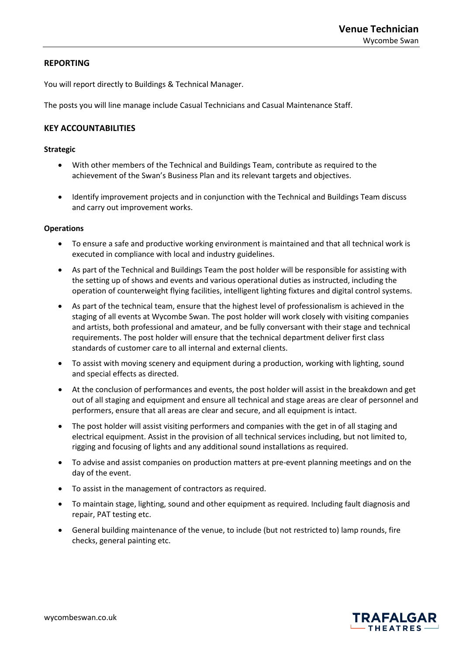# **REPORTING**

You will report directly to Buildings & Technical Manager.

The posts you will line manage include Casual Technicians and Casual Maintenance Staff.

# **KEY ACCOUNTABILITIES**

## **Strategic**

- With other members of the Technical and Buildings Team, contribute as required to the achievement of the Swan's Business Plan and its relevant targets and objectives.
- Identify improvement projects and in conjunction with the Technical and Buildings Team discuss and carry out improvement works.

### **Operations**

- To ensure a safe and productive working environment is maintained and that all technical work is executed in compliance with local and industry guidelines.
- As part of the Technical and Buildings Team the post holder will be responsible for assisting with the setting up of shows and events and various operational duties as instructed, including the operation of counterweight flying facilities, intelligent lighting fixtures and digital control systems.
- As part of the technical team, ensure that the highest level of professionalism is achieved in the staging of all events at Wycombe Swan. The post holder will work closely with visiting companies and artists, both professional and amateur, and be fully conversant with their stage and technical requirements. The post holder will ensure that the technical department deliver first class standards of customer care to all internal and external clients.
- To assist with moving scenery and equipment during a production, working with lighting, sound and special effects as directed.
- At the conclusion of performances and events, the post holder will assist in the breakdown and get out of all staging and equipment and ensure all technical and stage areas are clear of personnel and performers, ensure that all areas are clear and secure, and all equipment is intact.
- The post holder will assist visiting performers and companies with the get in of all staging and electrical equipment. Assist in the provision of all technical services including, but not limited to, rigging and focusing of lights and any additional sound installations as required.
- To advise and assist companies on production matters at pre-event planning meetings and on the day of the event.
- To assist in the management of contractors as required.
- To maintain stage, lighting, sound and other equipment as required. Including fault diagnosis and repair, PAT testing etc.
- General building maintenance of the venue, to include (but not restricted to) lamp rounds, fire checks, general painting etc.

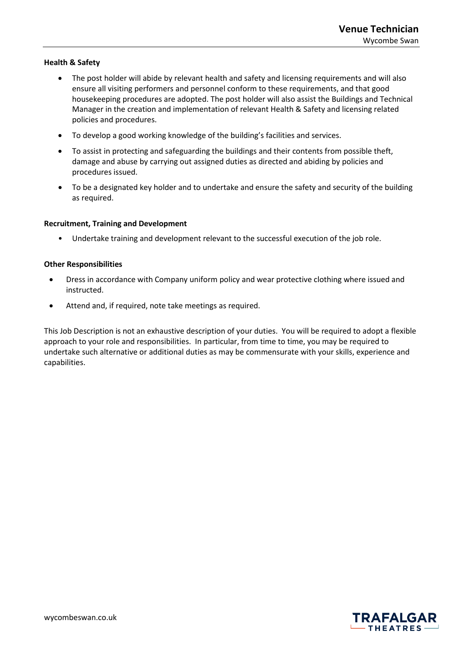# **Health & Safety**

- The post holder will abide by relevant health and safety and licensing requirements and will also ensure all visiting performers and personnel conform to these requirements, and that good housekeeping procedures are adopted. The post holder will also assist the Buildings and Technical Manager in the creation and implementation of relevant Health & Safety and licensing related policies and procedures.
- To develop a good working knowledge of the building's facilities and services.
- To assist in protecting and safeguarding the buildings and their contents from possible theft, damage and abuse by carrying out assigned duties as directed and abiding by policies and procedures issued.
- To be a designated key holder and to undertake and ensure the safety and security of the building as required.

## **Recruitment, Training and Development**

• Undertake training and development relevant to the successful execution of the job role.

### **Other Responsibilities**

- Dress in accordance with Company uniform policy and wear protective clothing where issued and instructed.
- Attend and, if required, note take meetings as required.

This Job Description is not an exhaustive description of your duties. You will be required to adopt a flexible approach to your role and responsibilities. In particular, from time to time, you may be required to undertake such alternative or additional duties as may be commensurate with your skills, experience and capabilities.